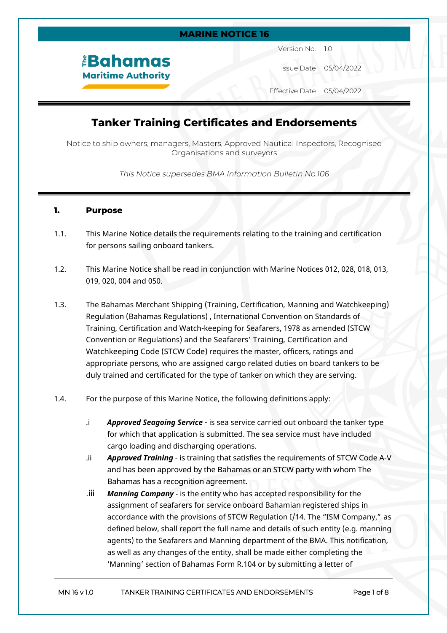### **MARINE NOTICE 16**

*<u><b>EBahamas</u>* **Maritime Authority**  Version No. 1.0

Issue Date 05/04/2022

Effective Date 05/04/2022

# **Tanker Training Certificates and Endorsements**

Notice to ship owners, managers, Masters, Approved Nautical Inspectors, Recognised Organisations and surveyors

*This Notice supersedes BMA Information Bulletin No.106*

#### **1. Purpose**

- 1.1. This Marine Notice details the requirements relating to the training and certification for persons sailing onboard tankers.
- 1.2. This Marine Notice shall be read in conjunction with Marine Notices 012, 028, 018, 013, 019, 020, 004 and 050.
- 1.3. The Bahamas Merchant Shipping (Training, Certification, Manning and Watchkeeping) Regulation (Bahamas Regulations) , International Convention on Standards of Training, Certification and Watch-keeping for Seafarers, 1978 as amended (STCW Convention or Regulations) and the Seafarers' Training, Certification and Watchkeeping Code (STCW Code) requires the master, officers, ratings and appropriate persons, who are assigned cargo related duties on board tankers to be duly trained and certificated for the type of tanker on which they are serving.
- 1.4. For the purpose of this Marine Notice, the following definitions apply:
	- .i *Approved Seagoing Service* is sea service carried out onboard the tanker type for which that application is submitted. The sea service must have included cargo loading and discharging operations.
	- .ii *Approved Training* is training that satisfies the requirements of STCW Code A-V and has been approved by the Bahamas or an STCW party with whom The Bahamas has a recognition agreement.
	- .iii *Manning Company* is the entity who has accepted responsibility for the assignment of seafarers for service onboard Bahamian registered ships in accordance with the provisions of STCW Regulation I/14. The "ISM Company," as defined below, shall report the full name and details of such entity (e.g. manning agents) to the Seafarers and Manning department of the BMA. This notification, as well as any changes of the entity, shall be made either completing the 'Manning' section of Bahamas Form R.104 or by submitting a letter of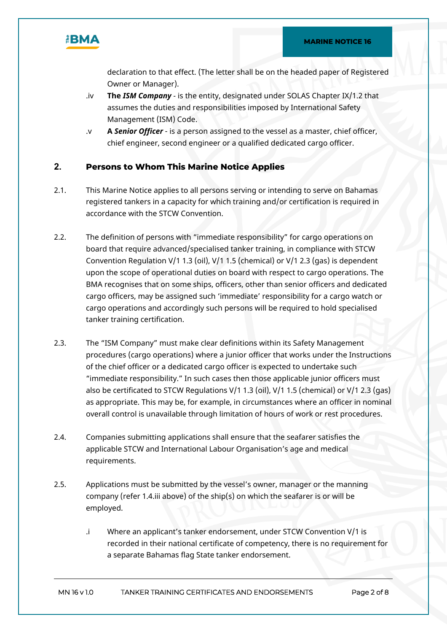

declaration to that effect. (The letter shall be on the headed paper of Registered Owner or Manager).

- .iv **The** *ISM Company* is the entity, designated under SOLAS Chapter IX/1.2 that assumes the duties and responsibilities imposed by International Safety Management (ISM) Code.
- .v **A** *Senior Officer* is a person assigned to the vessel as a master, chief officer, chief engineer, second engineer or a qualified dedicated cargo officer.

#### **2. Persons to Whom This Marine Notice Applies**

- 2.1. This Marine Notice applies to all persons serving or intending to serve on Bahamas registered tankers in a capacity for which training and/or certification is required in accordance with the STCW Convention.
- 2.2. The definition of persons with "immediate responsibility" for cargo operations on board that require advanced/specialised tanker training, in compliance with STCW Convention Regulation V/1 1.3 (oil), V/1 1.5 (chemical) or V/1 2.3 (gas) is dependent upon the scope of operational duties on board with respect to cargo operations. The BMA recognises that on some ships, officers, other than senior officers and dedicated cargo officers, may be assigned such 'immediate' responsibility for a cargo watch or cargo operations and accordingly such persons will be required to hold specialised tanker training certification.
- 2.3. The "ISM Company" must make clear definitions within its Safety Management procedures (cargo operations) where a junior officer that works under the Instructions of the chief officer or a dedicated cargo officer is expected to undertake such "immediate responsibility." In such cases then those applicable junior officers must also be certificated to STCW Regulations V/1 1.3 (oil), V/1 1.5 (chemical) or V/1 2.3 (gas) as appropriate. This may be, for example, in circumstances where an officer in nominal overall control is unavailable through limitation of hours of work or rest procedures.
- 2.4. Companies submitting applications shall ensure that the seafarer satisfies the applicable STCW and International Labour Organisation's age and medical requirements.
- 2.5. Applications must be submitted by the vessel's owner, manager or the manning company (refer 1.4.iii above) of the ship(s) on which the seafarer is or will be employed.
	- .i Where an applicant's tanker endorsement, under STCW Convention V/1 is recorded in their national certificate of competency, there is no requirement for a separate Bahamas flag State tanker endorsement.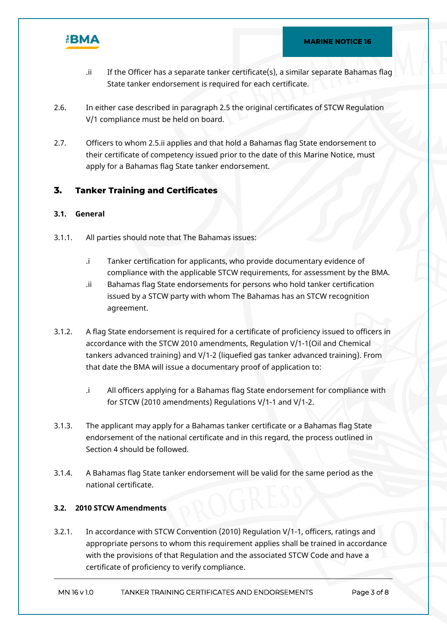

- .ii If the Officer has a separate tanker certificate(s), a similar separate Bahamas flag State tanker endorsement is required for each certificate.
- 2.6. In either case described in paragraph 2.5 the original certificates of STCW Regulation V/1 compliance must be held on board.
- 2.7. Officers to whom 2.5.ii applies and that hold a Bahamas flag State endorsement to their certificate of competency issued prior to the date of this Marine Notice, must apply for a Bahamas flag State tanker endorsement.

## **3. Tanker Training and Certificates**

#### **3.1. General**

- 3.1.1. All parties should note that The Bahamas issues:
	- .i Tanker certification for applicants, who provide documentary evidence of compliance with the applicable STCW requirements, for assessment by the BMA.
	- .ii Bahamas flag State endorsements for persons who hold tanker certification issued by a STCW party with whom The Bahamas has an STCW recognition agreement.
- 3.1.2. A flag State endorsement is required for a certificate of proficiency issued to officers in accordance with the STCW 2010 amendments, Regulation V/1-1(Oil and Chemical tankers advanced training) and V/1-2 (liquefied gas tanker advanced training). From that date the BMA will issue a documentary proof of application to:
	- .i All officers applying for a Bahamas flag State endorsement for compliance with for STCW (2010 amendments) Regulations V/1-1 and V/1-2.
- 3.1.3. The applicant may apply for a Bahamas tanker certificate or a Bahamas flag State endorsement of the national certificate and in this regard, the process outlined in Section 4 should be followed.
- 3.1.4. A Bahamas flag State tanker endorsement will be valid for the same period as the national certificate.

#### **3.2. 2010 STCW Amendments**

3.2.1. In accordance with STCW Convention (2010) Regulation V/1-1, officers, ratings and appropriate persons to whom this requirement applies shall be trained in accordance with the provisions of that Regulation and the associated STCW Code and have a certificate of proficiency to verify compliance.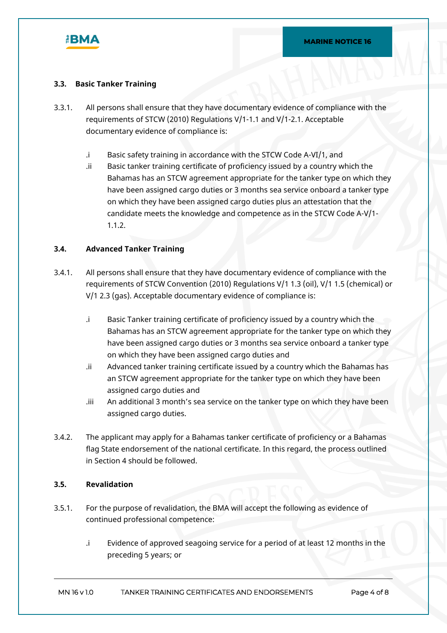

#### **3.3. Basic Tanker Training**

- 3.3.1. All persons shall ensure that they have documentary evidence of compliance with the requirements of STCW (2010) Regulations V/1-1.1 and V/1-2.1. Acceptable documentary evidence of compliance is:
	- .i Basic safety training in accordance with the STCW Code A-VI/1, and
	- .ii Basic tanker training certificate of proficiency issued by a country which the Bahamas has an STCW agreement appropriate for the tanker type on which they have been assigned cargo duties or 3 months sea service onboard a tanker type on which they have been assigned cargo duties plus an attestation that the candidate meets the knowledge and competence as in the STCW Code A-V/1- 1.1.2.

#### **3.4. Advanced Tanker Training**

- 3.4.1. All persons shall ensure that they have documentary evidence of compliance with the requirements of STCW Convention (2010) Regulations V/1 1.3 (oil), V/1 1.5 (chemical) or V/1 2.3 (gas). Acceptable documentary evidence of compliance is:
	- .i Basic Tanker training certificate of proficiency issued by a country which the Bahamas has an STCW agreement appropriate for the tanker type on which they have been assigned cargo duties or 3 months sea service onboard a tanker type on which they have been assigned cargo duties and
	- .ii Advanced tanker training certificate issued by a country which the Bahamas has an STCW agreement appropriate for the tanker type on which they have been assigned cargo duties and
	- .iii An additional 3 month's sea service on the tanker type on which they have been assigned cargo duties.
- 3.4.2. The applicant may apply for a Bahamas tanker certificate of proficiency or a Bahamas flag State endorsement of the national certificate. In this regard, the process outlined in Section 4 should be followed.

#### **3.5. Revalidation**

- 3.5.1. For the purpose of revalidation, the BMA will accept the following as evidence of continued professional competence:
	- .i Evidence of approved seagoing service for a period of at least 12 months in the preceding 5 years; or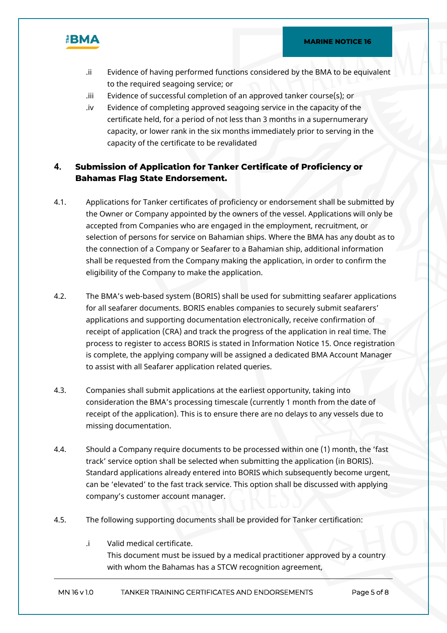



- .ii Evidence of having performed functions considered by the BMA to be equivalent to the required seagoing service; or
- .iii Evidence of successful completion of an approved tanker course(s); or
- .iv Evidence of completing approved seagoing service in the capacity of the certificate held, for a period of not less than 3 months in a supernumerary capacity, or lower rank in the six months immediately prior to serving in the capacity of the certificate to be revalidated

## **4. Submission of Application for Tanker Certificate of Proficiency or Bahamas Flag State Endorsement.**

- 4.1. Applications for Tanker certificates of proficiency or endorsement shall be submitted by the Owner or Company appointed by the owners of the vessel. Applications will only be accepted from Companies who are engaged in the employment, recruitment, or selection of persons for service on Bahamian ships. Where the BMA has any doubt as to the connection of a Company or Seafarer to a Bahamian ship, additional information shall be requested from the Company making the application, in order to confirm the eligibility of the Company to make the application.
- 4.2. The BMA's web-based system (BORIS) shall be used for submitting seafarer applications for all seafarer documents. BORIS enables companies to securely submit seafarers' applications and supporting documentation electronically, receive confirmation of receipt of application (CRA) and track the progress of the application in real time. The process to register to access BORIS is stated in Information Notice 15. Once registration is complete, the applying company will be assigned a dedicated BMA Account Manager to assist with all Seafarer application related queries.
- 4.3. Companies shall submit applications at the earliest opportunity, taking into consideration the BMA's processing timescale (currently 1 month from the date of receipt of the application). This is to ensure there are no delays to any vessels due to missing documentation.
- 4.4. Should a Company require documents to be processed within one (1) month, the 'fast track' service option shall be selected when submitting the application (in BORIS). Standard applications already entered into BORIS which subsequently become urgent, can be 'elevated' to the fast track service. This option shall be discussed with applying company's customer account manager.
- 4.5. The following supporting documents shall be provided for Tanker certification:
	- .i Valid medical certificate. This document must be issued by a medical practitioner approved by a country with whom the Bahamas has a STCW recognition agreement,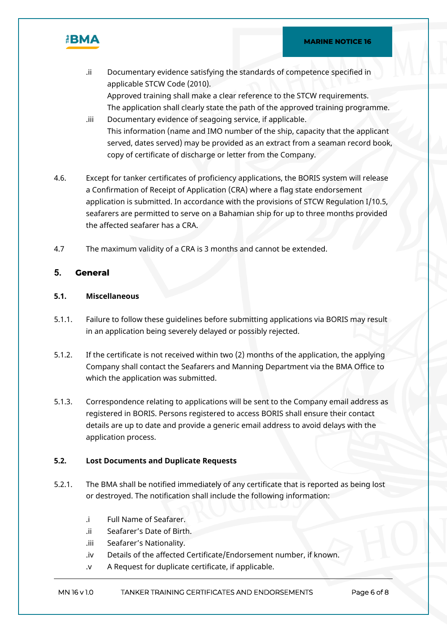

- .ii Documentary evidence satisfying the standards of competence specified in applicable STCW Code (2010). Approved training shall make a clear reference to the STCW requirements. The application shall clearly state the path of the approved training programme.
- .iii Documentary evidence of seagoing service, if applicable. This information (name and IMO number of the ship, capacity that the applicant served, dates served) may be provided as an extract from a seaman record book, copy of certificate of discharge or letter from the Company.
- 4.6. Except for tanker certificates of proficiency applications, the BORIS system will release a Confirmation of Receipt of Application (CRA) where a flag state endorsement application is submitted. In accordance with the provisions of STCW Regulation I/10.5, seafarers are permitted to serve on a Bahamian ship for up to three months provided the affected seafarer has a CRA.
- 4.7 The maximum validity of a CRA is 3 months and cannot be extended.

#### **5. General**

#### **5.1. Miscellaneous**

- 5.1.1. Failure to follow these guidelines before submitting applications via BORIS may result in an application being severely delayed or possibly rejected.
- 5.1.2. If the certificate is not received within two (2) months of the application, the applying Company shall contact the Seafarers and Manning Department via the BMA Office to which the application was submitted.
- 5.1.3. Correspondence relating to applications will be sent to the Company email address as registered in BORIS. Persons registered to access BORIS shall ensure their contact details are up to date and provide a generic email address to avoid delays with the application process.

#### **5.2. Lost Documents and Duplicate Requests**

- 5.2.1. The BMA shall be notified immediately of any certificate that is reported as being lost or destroyed. The notification shall include the following information:
	- .i Full Name of Seafarer.
	- .ii Seafarer's Date of Birth.
	- .iii Seafarer's Nationality.
	- .iv Details of the affected Certificate/Endorsement number, if known.
	- .v A Request for duplicate certificate, if applicable.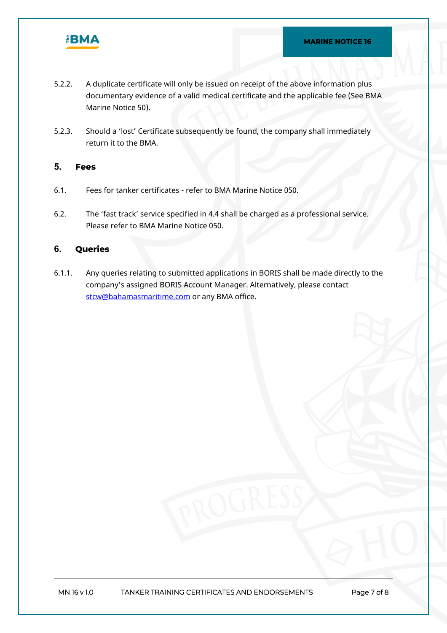

- 5.2.2. A duplicate certificate will only be issued on receipt of the above information plus documentary evidence of a valid medical certificate and the applicable fee (See BMA Marine Notice 50).
- 5.2.3. Should a 'lost' Certificate subsequently be found, the company shall immediately return it to the BMA.

#### **5. Fees**

- 6.1. Fees for tanker certificates refer to BMA Marine Notice 050.
- 6.2. The 'fast track' service specified in 4.4 shall be charged as a professional service. Please refer to BMA Marine Notice 050.

## **6. Queries**

6.1.1. Any queries relating to submitted applications in BORIS shall be made directly to the company's assigned BORIS Account Manager. Alternatively, please contact [stcw@bahamasmaritime.com](mailto:stcw@bahamasmaritime.com) or any BMA office.